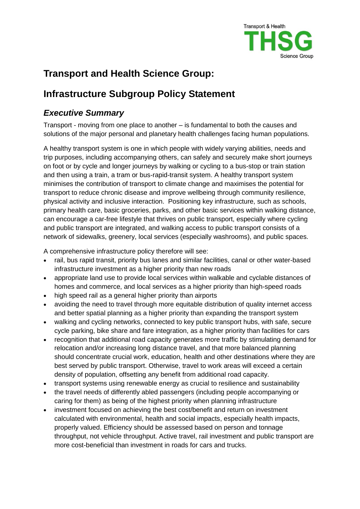

# **Transport and Health Science Group:**

# **Infrastructure Subgroup Policy Statement**

## *Executive Summary*

Transport - moving from one place to another – is fundamental to both the causes and solutions of the major personal and planetary health challenges facing human populations.

A healthy transport system is one in which people with widely varying abilities, needs and trip purposes, including accompanying others, can safely and securely make short journeys on foot or by cycle and longer journeys by walking or cycling to a bus-stop or train station and then using a train, a tram or bus-rapid-transit system. A healthy transport system minimises the contribution of transport to climate change and maximises the potential for transport to reduce chronic disease and improve wellbeing through community resilience, physical activity and inclusive interaction. Positioning key infrastructure, such as schools, primary health care, basic groceries, parks, and other basic services within walking distance, can encourage a car-free lifestyle that thrives on public transport, especially where cycling and public transport are integrated, and walking access to public transport consists of a network of sidewalks, greenery, local services (especially washrooms), and public spaces.

A comprehensive infrastructure policy therefore will see:

- rail, bus rapid transit, priority bus lanes and similar facilities, canal or other water-based infrastructure investment as a higher priority than new roads
- appropriate land use to provide local services within walkable and cyclable distances of homes and commerce, and local services as a higher priority than high-speed roads
- high speed rail as a general higher priority than airports
- avoiding the need to travel through more equitable distribution of quality internet access and better spatial planning as a higher priority than expanding the transport system
- walking and cycling networks, connected to key public transport hubs, with safe, secure cycle parking, bike share and fare integration, as a higher priority than facilities for cars
- recognition that additional road capacity generates more traffic by stimulating demand for relocation and/or increasing long distance travel, and that more balanced planning should concentrate crucial work, education, health and other destinations where they are best served by public transport. Otherwise, travel to work areas will exceed a certain density of population, offsetting any benefit from additional road capacity.
- transport systems using renewable energy as crucial to resilience and sustainability
- the travel needs of differently abled passengers (including people accompanying or caring for them) as being of the highest priority when planning infrastructure
- investment focused on achieving the best cost/benefit and return on investment calculated with environmental, health and social impacts, especially health impacts, properly valued. Efficiency should be assessed based on person and tonnage throughput, not vehicle throughput. Active travel, rail investment and public transport are more cost-beneficial than investment in roads for cars and trucks.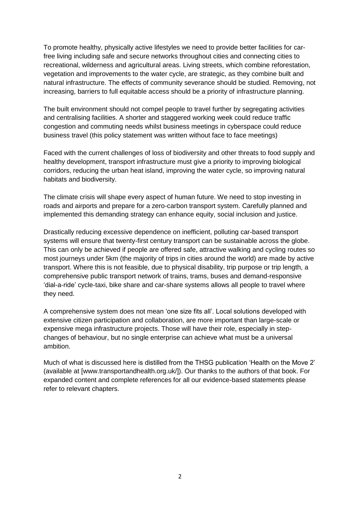To promote healthy, physically active lifestyles we need to provide better facilities for carfree living including safe and secure networks throughout cities and connecting cities to recreational, wilderness and agricultural areas. Living streets, which combine reforestation, vegetation and improvements to the water cycle, are strategic, as they combine built and natural infrastructure. The effects of community severance should be studied. Removing, not increasing, barriers to full equitable access should be a priority of infrastructure planning.

The built environment should not compel people to travel further by segregating activities and centralising facilities. A shorter and staggered working week could reduce traffic congestion and commuting needs whilst business meetings in cyberspace could reduce business travel (this policy statement was written without face to face meetings)

Faced with the current challenges of loss of biodiversity and other threats to food supply and healthy development, transport infrastructure must give a priority to improving biological corridors, reducing the urban heat island, improving the water cycle, so improving natural habitats and biodiversity.

The climate crisis will shape every aspect of human future. We need to stop investing in roads and airports and prepare for a zero-carbon transport system. Carefully planned and implemented this demanding strategy can enhance equity, social inclusion and justice.

Drastically reducing excessive dependence on inefficient, polluting car-based transport systems will ensure that twenty-first century transport can be sustainable across the globe. This can only be achieved if people are offered safe, attractive walking and cycling routes so most journeys under 5km (the majority of trips in cities around the world) are made by active transport. Where this is not feasible, due to physical disability, trip purpose or trip length, a comprehensive public transport network of trains, trams, buses and demand-responsive 'dial-a-ride' cycle-taxi, bike share and car-share systems allows all people to travel where they need.

A comprehensive system does not mean 'one size fits all'. Local solutions developed with extensive citizen participation and collaboration, are more important than large-scale or expensive mega infrastructure projects. Those will have their role, especially in stepchanges of behaviour, but no single enterprise can achieve what must be a universal ambition.

Much of what is discussed here is distilled from the THSG publication 'Health on the Move 2' (available at [www.transportandhealth.org.uk/]). Our thanks to the authors of that book. For expanded content and complete references for all our evidence-based statements please refer to relevant chapters.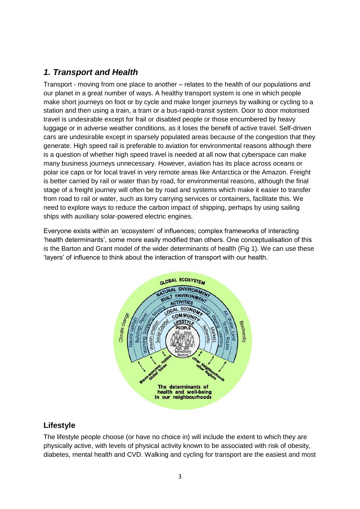## *1. Transport and Health*

Transport - moving from one place to another – relates to the health of our populations and our planet in a great number of ways. A healthy transport system is one in which people make short journeys on foot or by cycle and make longer journeys by walking or cycling to a station and then using a train, a tram or a bus-rapid-transit system. Door to door motorised travel is undesirable except for frail or disabled people or those encumbered by heavy luggage or in adverse weather conditions, as it loses the benefit of active travel. Self-driven cars are undesirable except in sparsely populated areas because of the congestion that they generate. High speed rail is preferable to aviation for environmental reasons although there is a question of whether high speed travel is needed at all now that cyberspace can make many business journeys unnecessary. However, aviation has its place across oceans or polar ice caps or for local travel in very remote areas like Antarctica or the Amazon. Freight is better carried by rail or water than by road, for environmental reasons, although the final stage of a freight journey will often be by road and systems which make it easier to transfer from road to rail or water, such as lorry carrying services or containers, facilitate this. We need to explore ways to reduce the carbon impact of shipping, perhaps by using sailing ships with auxiliary solar-powered electric engines.

Everyone exists within an 'ecosystem' of influences; complex frameworks of interacting 'health determinants', some more easily modified than others. One conceptualisation of this is the Barton and Grant model of the wider determinants of health (Fig 1). We can use these 'layers' of influence to think about the interaction of transport with our health.



#### **Lifestyle**

The lifestyle people choose (or have no choice in) will include the extent to which they are physically active, with levels of physical activity known to be associated with risk of obesity, diabetes, mental health and CVD. Walking and cycling for transport are the easiest and most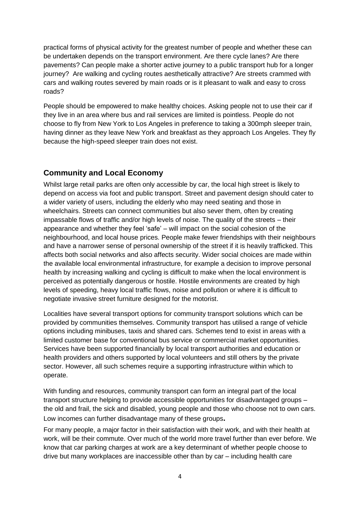practical forms of physical activity for the greatest number of people and whether these can be undertaken depends on the transport environment. Are there cycle lanes? Are there pavements? Can people make a shorter active journey to a public transport hub for a longer journey? Are walking and cycling routes aesthetically attractive? Are streets crammed with cars and walking routes severed by main roads or is it pleasant to walk and easy to cross roads?

People should be empowered to make healthy choices. Asking people not to use their car if they live in an area where bus and rail services are limited is pointless. People do not choose to fly from New York to Los Angeles in preference to taking a 300mph sleeper train, having dinner as they leave New York and breakfast as they approach Los Angeles. They fly because the high-speed sleeper train does not exist.

#### **Community and Local Economy**

Whilst large retail parks are often only accessible by car, the local high street is likely to depend on access via foot and public transport. Street and pavement design should cater to a wider variety of users, including the elderly who may need seating and those in wheelchairs. Streets can connect communities but also sever them, often by creating impassable flows of traffic and/or high levels of noise. The quality of the streets – their appearance and whether they feel 'safe' – will impact on the social cohesion of the neighbourhood, and local house prices. People make fewer friendships with their neighbours and have a narrower sense of personal ownership of the street if it is heavily trafficked. This affects both social networks and also affects security. Wider social choices are made within the available local environmental infrastructure, for example a decision to improve personal health by increasing walking and cycling is difficult to make when the local environment is perceived as potentially dangerous or hostile. Hostile environments are created by high levels of speeding, heavy local traffic flows, noise and pollution or where it is difficult to negotiate invasive street furniture designed for the motorist.

Localities have several transport options for community transport solutions which can be provided by communities themselves. Community transport has utilised a range of vehicle options including minibuses, taxis and shared cars. Schemes tend to exist in areas with a limited customer base for conventional bus service or commercial market opportunities. Services have been supported financially by local transport authorities and education or health providers and others supported by local volunteers and still others by the private sector. However, all such schemes require a supporting infrastructure within which to operate.

With funding and resources, community transport can form an integral part of the local transport structure helping to provide accessible opportunities for disadvantaged groups – the old and frail, the sick and disabled, young people and those who choose not to own cars. Low incomes can further disadvantage many of these groups**.** 

For many people, a major factor in their satisfaction with their work, and with their health at work, will be their commute. Over much of the world more travel further than ever before. We know that car parking charges at work are a key determinant of whether people choose to drive but many workplaces are inaccessible other than by car – including health care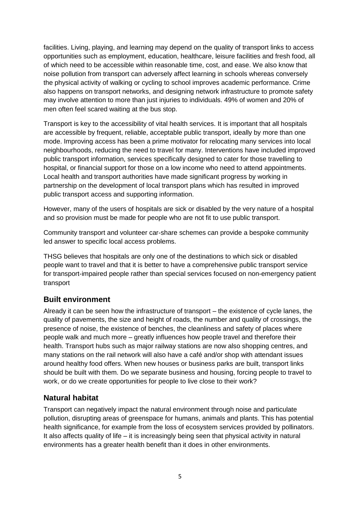facilities. Living, playing, and learning may depend on the quality of transport links to access opportunities such as employment, education, healthcare, leisure facilities and fresh food, all of which need to be accessible within reasonable time, cost, and ease. We also know that noise pollution from transport can adversely affect learning in schools whereas conversely the physical activity of walking or cycling to school improves academic performance. Crime also happens on transport networks, and designing network infrastructure to promote safety may involve attention to more than just injuries to individuals. 49% of women and 20% of men often feel scared waiting at the bus stop.

Transport is key to the accessibility of vital health services. It is important that all hospitals are accessible by frequent, reliable, acceptable public transport, ideally by more than one mode. Improving access has been a prime motivator for relocating many services into local neighbourhoods, reducing the need to travel for many. Interventions have included improved public transport information, services specifically designed to cater for those travelling to hospital, or financial support for those on a low income who need to attend appointments. Local health and transport authorities have made significant progress by working in partnership on the development of local transport plans which has resulted in improved public transport access and supporting information.

However, many of the users of hospitals are sick or disabled by the very nature of a hospital and so provision must be made for people who are not fit to use public transport.

Community transport and volunteer car-share schemes can provide a bespoke community led answer to specific local access problems.

THSG believes that hospitals are only one of the destinations to which sick or disabled people want to travel and that it is better to have a comprehensive public transport service for transport-impaired people rather than special services focused on non-emergency patient transport

#### **Built environment**

Already it can be seen how the infrastructure of transport – the existence of cycle lanes, the quality of pavements, the size and height of roads, the number and quality of crossings, the presence of noise, the existence of benches, the cleanliness and safety of places where people walk and much more – greatly influences how people travel and therefore their health. Transport hubs such as major railway stations are now also shopping centres, and many stations on the rail network will also have a café and/or shop with attendant issues around healthy food offers. When new houses or business parks are built, transport links should be built with them. Do we separate business and housing, forcing people to travel to work, or do we create opportunities for people to live close to their work?

#### **Natural habitat**

Transport can negatively impact the natural environment through noise and particulate pollution, disrupting areas of greenspace for humans, animals and plants. This has potential health significance, for example from the loss of ecosystem services provided by pollinators. It also affects quality of life – it is increasingly being seen that physical activity in natural environments has a greater health benefit than it does in other environments.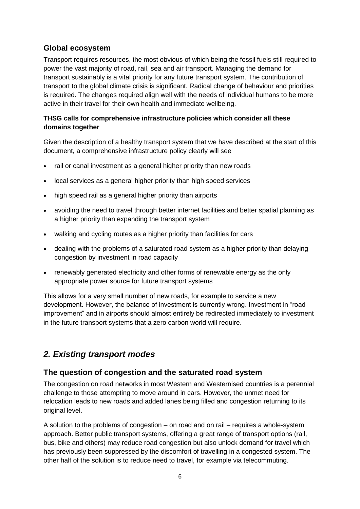#### **Global ecosystem**

Transport requires resources, the most obvious of which being the fossil fuels still required to power the vast majority of road, rail, sea and air transport. Managing the demand for transport sustainably is a vital priority for any future transport system. The contribution of transport to the global climate crisis is significant. Radical change of behaviour and priorities is required. The changes required align well with the needs of individual humans to be more active in their travel for their own health and immediate wellbeing.

#### **THSG calls for comprehensive infrastructure policies which consider all these domains together**

Given the description of a healthy transport system that we have described at the start of this document, a comprehensive infrastructure policy clearly will see

- rail or canal investment as a general higher priority than new roads
- local services as a general higher priority than high speed services
- high speed rail as a general higher priority than airports
- avoiding the need to travel through better internet facilities and better spatial planning as a higher priority than expanding the transport system
- walking and cycling routes as a higher priority than facilities for cars
- dealing with the problems of a saturated road system as a higher priority than delaying congestion by investment in road capacity
- renewably generated electricity and other forms of renewable energy as the only appropriate power source for future transport systems

This allows for a very small number of new roads, for example to service a new development. However, the balance of investment is currently wrong. Investment in "road improvement" and in airports should almost entirely be redirected immediately to investment in the future transport systems that a zero carbon world will require.

## *2. Existing transport modes*

#### **The question of congestion and the saturated road system**

The congestion on road networks in most Western and Westernised countries is a perennial challenge to those attempting to move around in cars. However, the unmet need for relocation leads to new roads and added lanes being filled and congestion returning to its original level.

A solution to the problems of congestion – on road and on rail – requires a whole-system approach. Better public transport systems, offering a great range of transport options (rail, bus, bike and others) may reduce road congestion but also unlock demand for travel which has previously been suppressed by the discomfort of travelling in a congested system. The other half of the solution is to reduce need to travel, for example via telecommuting.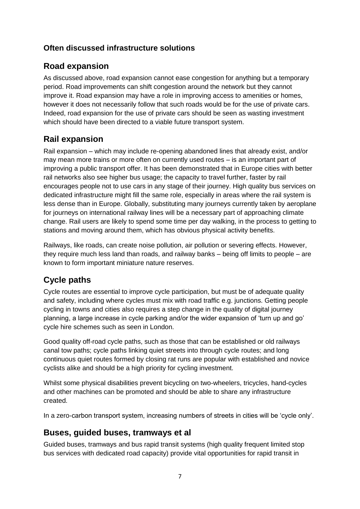### **Often discussed infrastructure solutions**

## **Road expansion**

As discussed above, road expansion cannot ease congestion for anything but a temporary period. Road improvements can shift congestion around the network but they cannot improve it. Road expansion may have a role in improving access to amenities or homes, however it does not necessarily follow that such roads would be for the use of private cars. Indeed, road expansion for the use of private cars should be seen as wasting investment which should have been directed to a viable future transport system.

## **Rail expansion**

Rail expansion – which may include re-opening abandoned lines that already exist, and/or may mean more trains or more often on currently used routes – is an important part of improving a public transport offer. It has been demonstrated that in Europe cities with better rail networks also see higher bus usage; the capacity to travel further, faster by rail encourages people not to use cars in any stage of their journey. High quality bus services on dedicated infrastructure might fill the same role, especially in areas where the rail system is less dense than in Europe. Globally, substituting many journeys currently taken by aeroplane for journeys on international railway lines will be a necessary part of approaching climate change. Rail users are likely to spend some time per day walking, in the process to getting to stations and moving around them, which has obvious physical activity benefits.

Railways, like roads, can create noise pollution, air pollution or severing effects. However, they require much less land than roads, and railway banks – being off limits to people – are known to form important miniature nature reserves.

## **Cycle paths**

Cycle routes are essential to improve cycle participation, but must be of adequate quality and safety, including where cycles must mix with road traffic e.g. junctions. Getting people cycling in towns and cities also requires a step change in the quality of digital journey planning, a large increase in cycle parking and/or the wider expansion of 'turn up and go' cycle hire schemes such as seen in London.

Good quality off-road cycle paths, such as those that can be established or old railways canal tow paths; cycle paths linking quiet streets into through cycle routes; and long continuous quiet routes formed by closing rat runs are popular with established and novice cyclists alike and should be a high priority for cycling investment.

Whilst some physical disabilities prevent bicycling on two-wheelers, tricycles, hand-cycles and other machines can be promoted and should be able to share any infrastructure created.

In a zero-carbon transport system, increasing numbers of streets in cities will be 'cycle only'.

### **Buses, guided buses, tramways et al**

Guided buses, tramways and bus rapid transit systems (high quality frequent limited stop bus services with dedicated road capacity) provide vital opportunities for rapid transit in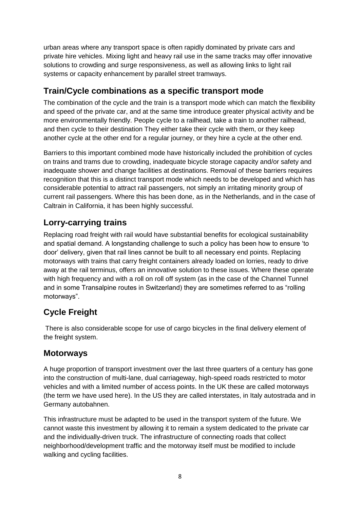urban areas where any transport space is often rapidly dominated by private cars and private hire vehicles. Mixing light and heavy rail use in the same tracks may offer innovative solutions to crowding and surge responsiveness, as well as allowing links to light rail systems or capacity enhancement by parallel street tramways.

## **Train/Cycle combinations as a specific transport mode**

The combination of the cycle and the train is a transport mode which can match the flexibility and speed of the private car, and at the same time introduce greater physical activity and be more environmentally friendly. People cycle to a railhead, take a train to another railhead, and then cycle to their destination They either take their cycle with them, or they keep another cycle at the other end for a regular journey, or they hire a cycle at the other end.

Barriers to this important combined mode have historically included the prohibition of cycles on trains and trams due to crowding, inadequate bicycle storage capacity and/or safety and inadequate shower and change facilities at destinations. Removal of these barriers requires recognition that this is a distinct transport mode which needs to be developed and which has considerable potential to attract rail passengers, not simply an irritating minority group of current rail passengers. Where this has been done, as in the Netherlands, and in the case of Caltrain in California, it has been highly successful.

## **Lorry-carrying trains**

Replacing road freight with rail would have substantial benefits for ecological sustainability and spatial demand. A longstanding challenge to such a policy has been how to ensure 'to door' delivery, given that rail lines cannot be built to all necessary end points. Replacing motorways with trains that carry freight containers already loaded on lorries, ready to drive away at the rail terminus, offers an innovative solution to these issues. Where these operate with high frequency and with a roll on roll off system (as in the case of the Channel Tunnel and in some Transalpine routes in Switzerland) they are sometimes referred to as "rolling motorways".

# **Cycle Freight**

There is also considerable scope for use of cargo bicycles in the final delivery element of the freight system.

## **Motorways**

A huge proportion of transport investment over the last three quarters of a century has gone into the construction of multi-lane, dual carriageway, high-speed roads restricted to motor vehicles and with a limited number of access points. In the UK these are called motorways (the term we have used here). In the US they are called interstates, in Italy autostrada and in Germany autobahnen.

This infrastructure must be adapted to be used in the transport system of the future. We cannot waste this investment by allowing it to remain a system dedicated to the private car and the individually-driven truck. The infrastructure of connecting roads that collect neighborhood/development traffic and the motorway itself must be modified to include walking and cycling facilities.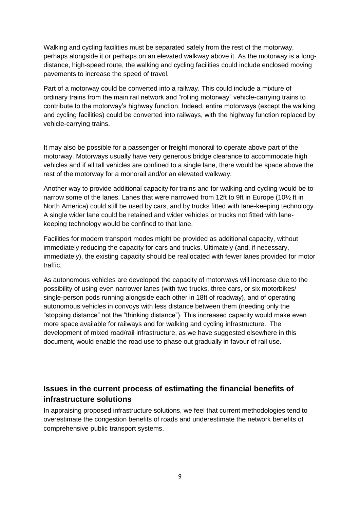Walking and cycling facilities must be separated safely from the rest of the motorway, perhaps alongside it or perhaps on an elevated walkway above it. As the motorway is a longdistance, high-speed route, the walking and cycling facilities could include enclosed moving pavements to increase the speed of travel.

Part of a motorway could be converted into a railway. This could include a mixture of ordinary trains from the main rail network and "rolling motorway" vehicle-carrying trains to contribute to the motorway's highway function. Indeed, entire motorways (except the walking and cycling facilities) could be converted into railways, with the highway function replaced by vehicle-carrying trains.

It may also be possible for a passenger or freight monorail to operate above part of the motorway. Motorways usually have very generous bridge clearance to accommodate high vehicles and if all tall vehicles are confined to a single lane, there would be space above the rest of the motorway for a monorail and/or an elevated walkway.

Another way to provide additional capacity for trains and for walking and cycling would be to narrow some of the lanes. Lanes that were narrowed from 12ft to 9ft in Europe (10½ ft in North America) could still be used by cars, and by trucks fitted with lane-keeping technology. A single wider lane could be retained and wider vehicles or trucks not fitted with lanekeeping technology would be confined to that lane.

Facilities for modern transport modes might be provided as additional capacity, without immediately reducing the capacity for cars and trucks. Ultimately (and, if necessary, immediately), the existing capacity should be reallocated with fewer lanes provided for motor traffic.

As autonomous vehicles are developed the capacity of motorways will increase due to the possibility of using even narrower lanes (with two trucks, three cars, or six motorbikes/ single-person pods running alongside each other in 18ft of roadway), and of operating autonomous vehicles in convoys with less distance between them (needing only the "stopping distance" not the "thinking distance"). This increased capacity would make even more space available for railways and for walking and cycling infrastructure. The development of mixed road/rail infrastructure, as we have suggested elsewhere in this document, would enable the road use to phase out gradually in favour of rail use.

### **Issues in the current process of estimating the financial benefits of infrastructure solutions**

In appraising proposed infrastructure solutions, we feel that current methodologies tend to overestimate the congestion benefits of roads and underestimate the network benefits of comprehensive public transport systems.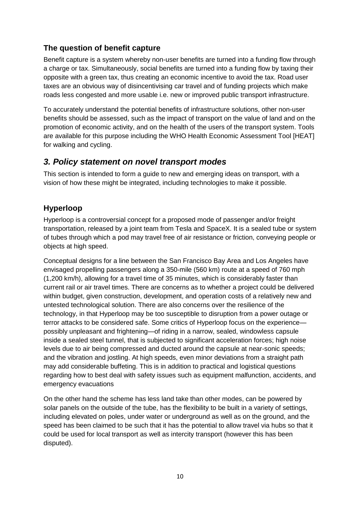### **The question of benefit capture**

Benefit capture is a system whereby non-user benefits are turned into a funding flow through a charge or tax. Simultaneously, social benefits are turned into a funding flow by taxing their opposite with a green tax, thus creating an economic incentive to avoid the tax. Road user taxes are an obvious way of disincentivising car travel and of funding projects which make roads less congested and more usable i.e. new or improved public transport infrastructure.

To accurately understand the potential benefits of infrastructure solutions, other non-user benefits should be assessed, such as the impact of transport on the value of land and on the promotion of economic activity, and on the health of the users of the transport system. Tools are available for this purpose including the WHO Health Economic Assessment Tool [HEAT] for walking and cycling.

### *3. Policy statement on novel transport modes*

This section is intended to form a guide to new and emerging ideas on transport, with a vision of how these might be integrated, including technologies to make it possible.

### **Hyperloop**

Hyperloop is a controversial concept for a proposed mode of passenger and/or freight transportation, released by a joint team from Tesla and SpaceX. It is a sealed tube or system of tubes through which a pod may travel free of air resistance or friction, conveying people or objects at high speed.

Conceptual designs for a line between the San Francisco Bay Area and Los Angeles have envisaged propelling passengers along a 350-mile (560 km) route at a speed of 760 mph (1,200 km/h), allowing for a travel time of 35 minutes, which is considerably faster than current rail or air travel times. There are concerns as to whether a project could be delivered within budget, given construction, development, and operation costs of a relatively new and untested technological solution. There are also concerns over the resilience of the technology, in that Hyperloop may be too susceptible to disruption from a power outage or terror attacks to be considered safe. Some critics of Hyperloop focus on the experience possibly unpleasant and frightening—of riding in a narrow, sealed, windowless capsule inside a sealed steel tunnel, that is subjected to significant acceleration forces; high noise levels due to air being compressed and ducted around the capsule at near-sonic speeds; and the vibration and jostling. At high speeds, even minor deviations from a straight path may add considerable buffeting. This is in addition to practical and logistical questions regarding how to best deal with safety issues such as equipment malfunction, accidents, and emergency evacuations

On the other hand the scheme has less land take than other modes, can be powered by solar panels on the outside of the tube, has the flexibility to be built in a variety of settings, including elevated on poles, under water or underground as well as on the ground, and the speed has been claimed to be such that it has the potential to allow travel via hubs so that it could be used for local transport as well as intercity transport (however this has been disputed).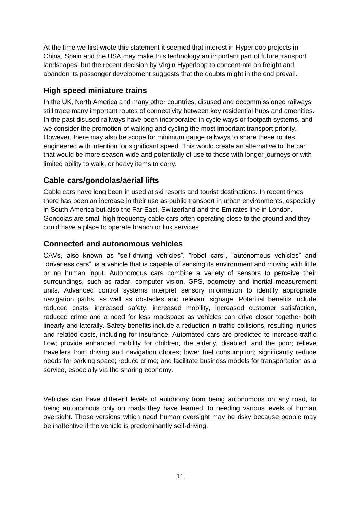At the time we first wrote this statement it seemed that interest in Hyperloop projects in China, Spain and the USA may make this technology an important part of future transport landscapes, but the recent decision by Virgin Hyperloop to concentrate on freight and abandon its passenger development suggests that the doubts might in the end prevail.

### **High speed miniature trains**

In the UK, North America and many other countries, disused and decommissioned railways still trace many important routes of connectivity between key residential hubs and amenities. In the past disused railways have been incorporated in cycle ways or footpath systems, and we consider the promotion of walking and cycling the most important transport priority. However, there may also be scope for minimum gauge railways to share these routes, engineered with intention for significant speed. This would create an alternative to the car that would be more season-wide and potentially of use to those with longer journeys or with limited ability to walk, or heavy items to carry.

### **Cable cars/gondolas/aerial lifts**

Cable cars have long been in used at ski resorts and tourist destinations. In recent times there has been an increase in their use as public transport in urban environments, especially in South America but also the Far East, Switzerland and the Emirates line in London. Gondolas are small high frequency cable cars often operating close to the ground and they could have a place to operate branch or link services.

#### **Connected and autonomous vehicles**

CAVs, also known as "self-driving vehicles", "robot cars", "autonomous vehicles" and "driverless cars", is a vehicle that is capable of sensing its environment and moving with little or no human input. Autonomous cars combine a variety of sensors to perceive their surroundings, such as radar, computer vision, GPS, odometry and inertial measurement units. Advanced control systems interpret sensory information to identify appropriate navigation paths, as well as obstacles and relevant signage. Potential benefits include reduced costs, increased safety, increased mobility, increased customer satisfaction, reduced crime and a need for less roadspace as vehicles can drive closer together both linearly and laterally. Safety benefits include a reduction in traffic collisions, resulting injuries and related costs, including for insurance. Automated cars are predicted to increase traffic flow; provide enhanced mobility for children, the elderly, disabled, and the poor; relieve travellers from driving and navigation chores; lower fuel consumption; significantly reduce needs for parking space; reduce crime; and facilitate business models for transportation as a service, especially via the sharing economy.

Vehicles can have different levels of autonomy from being autonomous on any road, to being autonomous only on roads they have learned, to needing various levels of human oversight. Those versions which need human oversight may be risky because people may be inattentive if the vehicle is predominantly self-driving.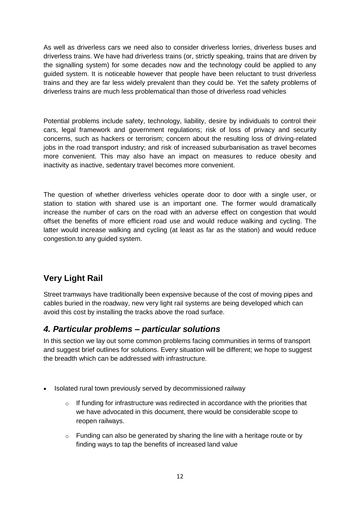As well as driverless cars we need also to consider driverless lorries, driverless buses and driverless trains. We have had driverless trains (or, strictly speaking, trains that are driven by the signalling system) for some decades now and the technology could be applied to any guided system. It is noticeable however that people have been reluctant to trust driverless trains and they are far less widely prevalent than they could be. Yet the safety problems of driverless trains are much less problematical than those of driverless road vehicles

Potential problems include safety, technology, liability, desire by individuals to control their cars, legal framework and government regulations; risk of loss of privacy and security concerns, such as hackers or terrorism; concern about the resulting loss of driving-related jobs in the road transport industry; and risk of increased suburbanisation as travel becomes more convenient. This may also have an impact on measures to reduce obesity and inactivity as inactive, sedentary travel becomes more convenient.

The question of whether driverless vehicles operate door to door with a single user, or station to station with shared use is an important one. The former would dramatically increase the number of cars on the road with an adverse effect on congestion that would offset the benefits of more efficient road use and would reduce walking and cycling. The latter would increase walking and cycling (at least as far as the station) and would reduce congestion.to any guided system.

## **Very Light Rail**

Street tramways have traditionally been expensive because of the cost of moving pipes and cables buried in the roadway, new very light rail systems are being developed which can avoid this cost by installing the tracks above the road surface.

### *4. Particular problems – particular solutions*

In this section we lay out some common problems facing communities in terms of transport and suggest brief outlines for solutions. Every situation will be different; we hope to suggest the breadth which can be addressed with infrastructure.

- Isolated rural town previously served by decommissioned railway
	- $\circ$  If funding for infrastructure was redirected in accordance with the priorities that we have advocated in this document, there would be considerable scope to reopen railways.
	- $\circ$  Funding can also be generated by sharing the line with a heritage route or by finding ways to tap the benefits of increased land value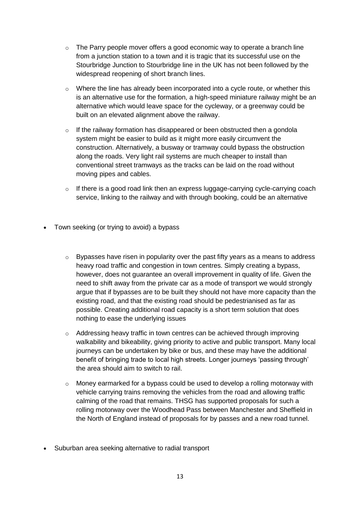- $\circ$  The Parry people mover offers a good economic way to operate a branch line from a junction station to a town and it is tragic that its successful use on the Stourbridge Junction to Stourbridge line in the UK has not been followed by the widespread reopening of short branch lines.
- o Where the line has already been incorporated into a cycle route, or whether this is an alternative use for the formation, a high-speed miniature railway might be an alternative which would leave space for the cycleway, or a greenway could be built on an elevated alignment above the railway.
- $\circ$  If the railway formation has disappeared or been obstructed then a gondola system might be easier to build as it might more easily circumvent the construction. Alternatively, a busway or tramway could bypass the obstruction along the roads. Very light rail systems are much cheaper to install than conventional street tramways as the tracks can be laid on the road without moving pipes and cables.
- o If there is a good road link then an express luggage-carrying cycle-carrying coach service, linking to the railway and with through booking, could be an alternative
- Town seeking (or trying to avoid) a bypass
	- $\circ$  Bypasses have risen in popularity over the past fifty years as a means to address heavy road traffic and congestion in town centres. Simply creating a bypass, however, does not guarantee an overall improvement in quality of life. Given the need to shift away from the private car as a mode of transport we would strongly argue that if bypasses are to be built they should not have more capacity than the existing road, and that the existing road should be pedestrianised as far as possible. Creating additional road capacity is a short term solution that does nothing to ease the underlying issues
	- o Addressing heavy traffic in town centres can be achieved through improving walkability and bikeability, giving priority to active and public transport. Many local journeys can be undertaken by bike or bus, and these may have the additional benefit of bringing trade to local high streets. Longer journeys 'passing through' the area should aim to switch to rail.
	- $\circ$  Money earmarked for a bypass could be used to develop a rolling motorway with vehicle carrying trains removing the vehicles from the road and allowing traffic calming of the road that remains. THSG has supported proposals for such a rolling motorway over the Woodhead Pass between Manchester and Sheffield in the North of England instead of proposals for by passes and a new road tunnel.
- Suburban area seeking alternative to radial transport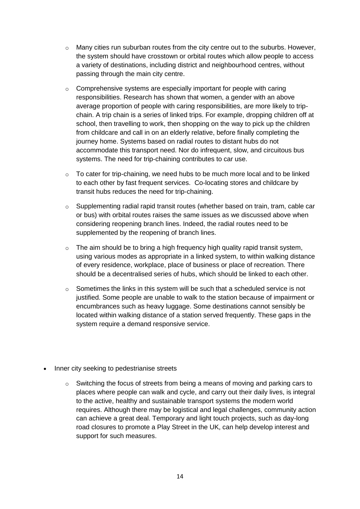- $\circ$  Many cities run suburban routes from the city centre out to the suburbs. However, the system should have crosstown or orbital routes which allow people to access a variety of destinations, including district and neighbourhood centres, without passing through the main city centre.
- o Comprehensive systems are especially important for people with caring responsibilities. Research has shown that women, a gender with an above average proportion of people with caring responsibilities, are more likely to tripchain. A trip chain is a series of linked trips. For example, dropping children off at school, then travelling to work, then shopping on the way to pick up the children from childcare and call in on an elderly relative, before finally completing the journey home. Systems based on radial routes to distant hubs do not accommodate this transport need. Nor do infrequent, slow, and circuitous bus systems. The need for trip-chaining contributes to car use.
- $\circ$  To cater for trip-chaining, we need hubs to be much more local and to be linked to each other by fast frequent services. Co-locating stores and childcare by transit hubs reduces the need for trip-chaining.
- $\circ$  Supplementing radial rapid transit routes (whether based on train, tram, cable car or bus) with orbital routes raises the same issues as we discussed above when considering reopening branch lines. Indeed, the radial routes need to be supplemented by the reopening of branch lines.
- $\circ$  The aim should be to bring a high frequency high quality rapid transit system, using various modes as appropriate in a linked system, to within walking distance of every residence, workplace, place of business or place of recreation. There should be a decentralised series of hubs, which should be linked to each other.
- o Sometimes the links in this system will be such that a scheduled service is not justified. Some people are unable to walk to the station because of impairment or encumbrances such as heavy luggage. Some destinations cannot sensibly be located within walking distance of a station served frequently. These gaps in the system require a demand responsive service.
- Inner city seeking to pedestrianise streets
	- $\circ$  Switching the focus of streets from being a means of moving and parking cars to places where people can walk and cycle, and carry out their daily lives, is integral to the active, healthy and sustainable transport systems the modern world requires. Although there may be logistical and legal challenges, community action can achieve a great deal. Temporary and light touch projects, such as day-long road closures to promote a Play Street in the UK, can help develop interest and support for such measures.